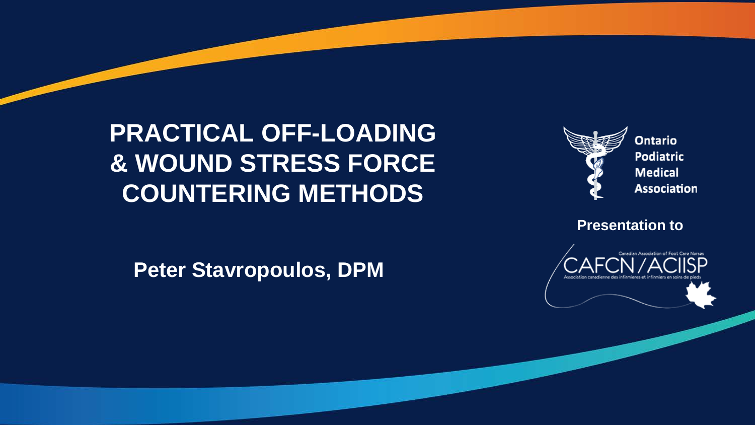

Ontario **Podiatric Medical Association** 

**Presentation to** 



**Peter Stavropoulos, DPM**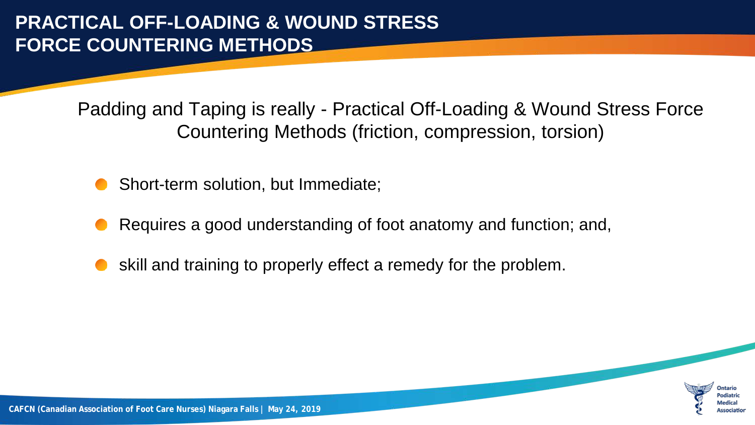Padding and Taping is really - Practical Off-Loading & Wound Stress Force Countering Methods (friction, compression, torsion)

- Short-term solution, but Immediate;
- Requires a good understanding of foot anatomy and function; and,
- skill and training to properly effect a remedy for the problem.

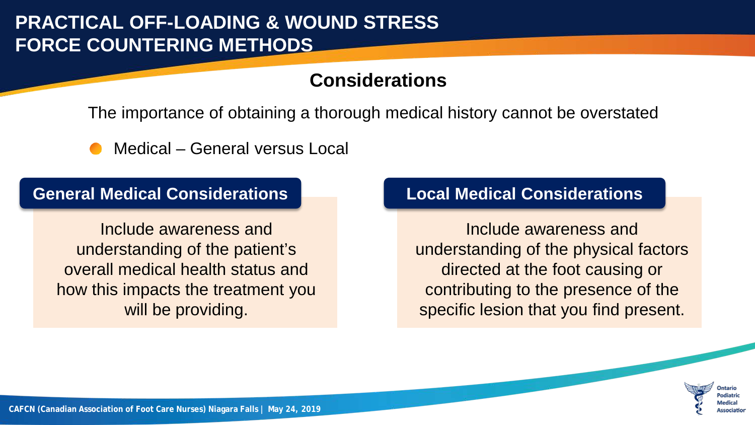### **Considerations**

The importance of obtaining a thorough medical history cannot be overstated

Medical – General versus Local

#### **General Medical Considerations**

Include awareness and understanding of the patient's overall medical health status and how this impacts the treatment you will be providing.

#### **Local Medical Considerations**

Include awareness and understanding of the physical factors directed at the foot causing or contributing to the presence of the specific lesion that you find present.

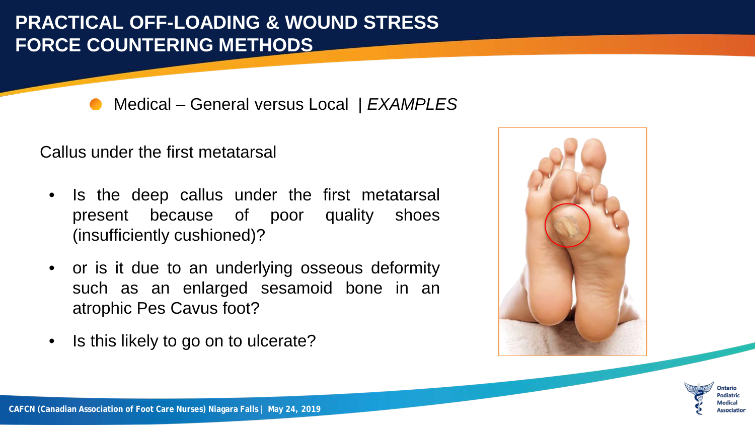Medical – General versus Local | *EXAMPLES*

Callus under the first metatarsal

- Is the deep callus under the first metatarsal present because of poor quality shoes (insufficiently cushioned)?
- or is it due to an underlying osseous deformity such as an enlarged sesamoid bone in an atrophic Pes Cavus foot?
- Is this likely to go on to ulcerate?



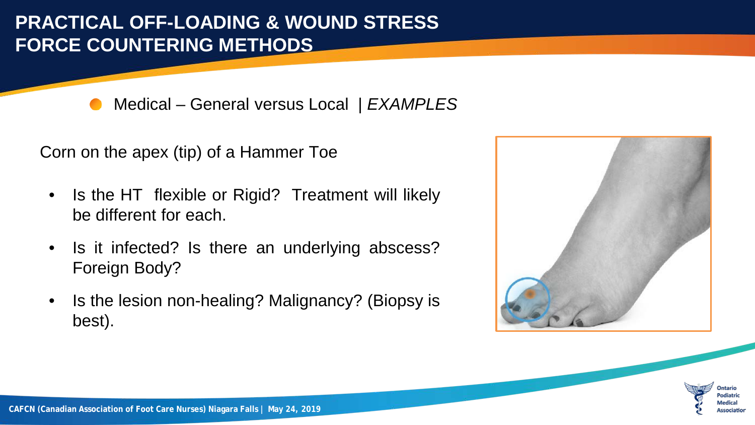Medical – General versus Local | *EXAMPLES*

Corn on the apex (tip) of a Hammer Toe

- Is the HT flexible or Rigid? Treatment will likely be different for each.
- Is it infected? Is there an underlying abscess? Foreign Body?
- Is the lesion non-healing? Malignancy? (Biopsy is best).



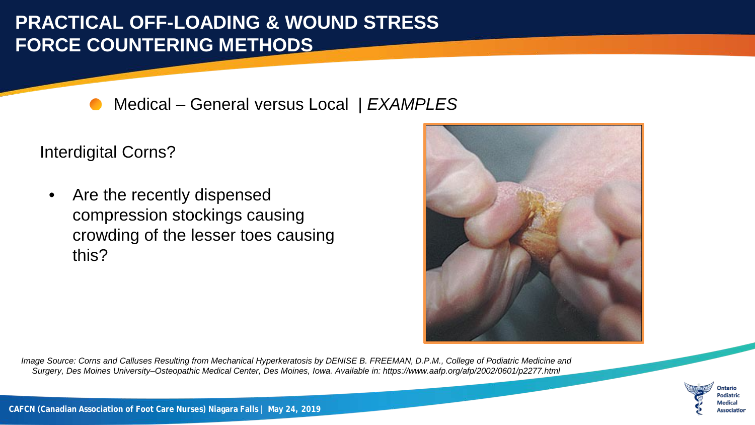Medical – General versus Local | *EXAMPLES*

Interdigital Corns?

• Are the recently dispensed compression stockings causing crowding of the lesser toes causing this?



*Image Source: Corns and Calluses Resulting from Mechanical Hyperkeratosis by DENISE B. FREEMAN, D.P.M., College of Podiatric Medicine and Surgery, Des Moines University–Osteopathic Medical Center, Des Moines, Iowa. Available in: https://www.aafp.org/afp/2002/0601/p2277.html*

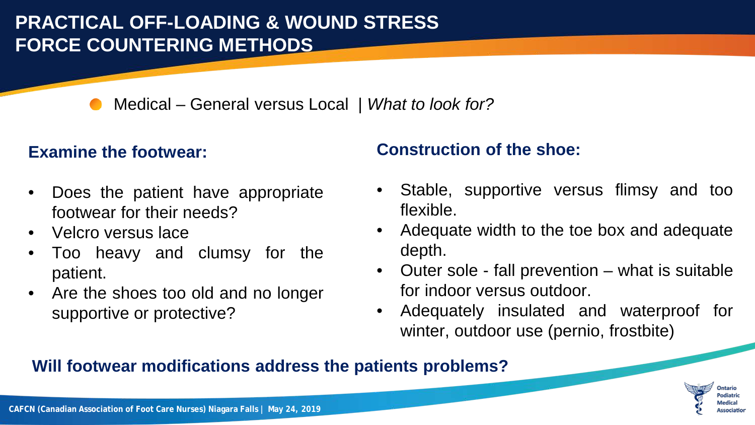Medical – General versus Local | *What to look for?*

#### **Examine the footwear:**

- Does the patient have appropriate footwear for their needs?
- Velcro versus lace
- Too heavy and clumsy for the patient.
- Are the shoes too old and no longer supportive or protective?

### **Construction of the shoe:**

- Stable, supportive versus flimsy and too flexible.
- Adequate width to the toe box and adequate depth.
- Outer sole fall prevention what is suitable for indoor versus outdoor.
- Adequately insulated and waterproof for winter, outdoor use (pernio, frostbite)

#### **Will footwear modifications address the patients problems?**

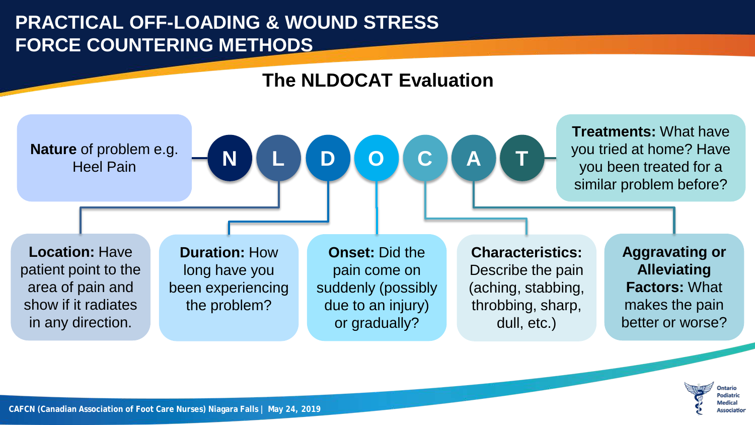



**CAFCN (Canadian Association of Foot Care Nurses) Niagara Falls | May 24, 2019**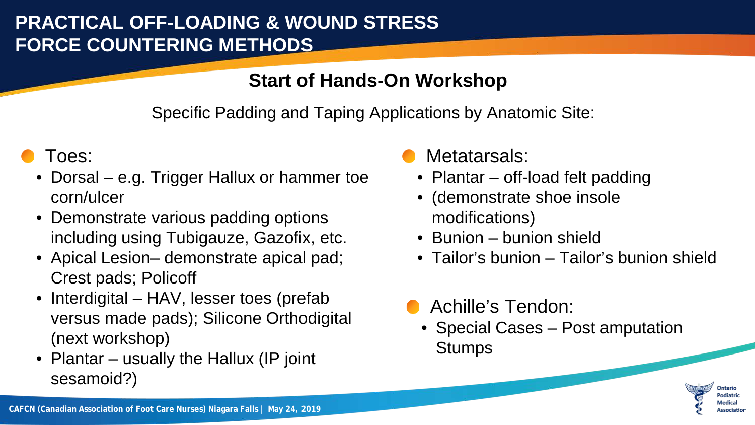### **Start of Hands-On Workshop**

Specific Padding and Taping Applications by Anatomic Site:

# Toes:

- Dorsal e.g. Trigger Hallux or hammer toe corn/ulcer
- Demonstrate various padding options including using Tubigauze, Gazofix, etc.
- Apical Lesion– demonstrate apical pad; Crest pads; Policoff
- Interdigital HAV, lesser toes (prefab versus made pads); Silicone Orthodigital (next workshop)
- Plantar usually the Hallux (IP joint sesamoid?)

### Metatarsals:

- Plantar off-load felt padding
- (demonstrate shoe insole modifications)
- Bunion bunion shield
- Tailor's bunion Tailor's bunion shield
- Achille's Tendon:
	- Special Cases Post amputation Stumps

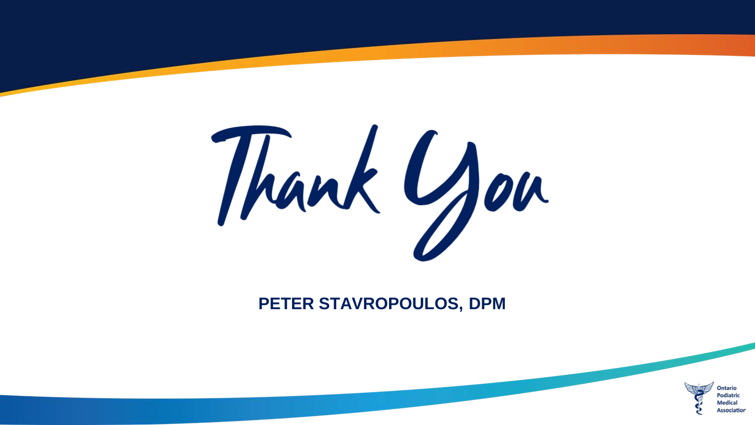

#### **PETER STAVROPOULOS, DPM**